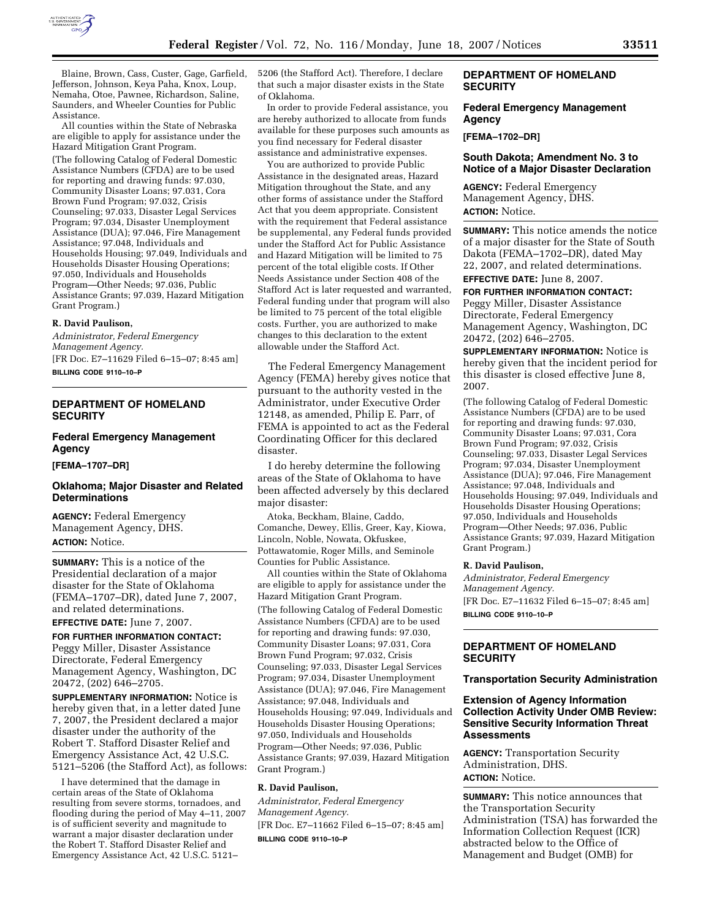

Blaine, Brown, Cass, Custer, Gage, Garfield, Jefferson, Johnson, Keya Paha, Knox, Loup, Nemaha, Otoe, Pawnee, Richardson, Saline, Saunders, and Wheeler Counties for Public Assistance.

All counties within the State of Nebraska are eligible to apply for assistance under the Hazard Mitigation Grant Program.

(The following Catalog of Federal Domestic Assistance Numbers (CFDA) are to be used for reporting and drawing funds: 97.030, Community Disaster Loans; 97.031, Cora Brown Fund Program; 97.032, Crisis Counseling; 97.033, Disaster Legal Services Program; 97.034, Disaster Unemployment Assistance (DUA); 97.046, Fire Management Assistance; 97.048, Individuals and Households Housing; 97.049, Individuals and Households Disaster Housing Operations; 97.050, Individuals and Households Program—Other Needs; 97.036, Public Assistance Grants; 97.039, Hazard Mitigation Grant Program.)

### **R. David Paulison,**

*Administrator, Federal Emergency Management Agency.*  [FR Doc. E7–11629 Filed 6–15–07; 8:45 am] **BILLING CODE 9110–10–P** 

# **DEPARTMENT OF HOMELAND SECURITY**

# **Federal Emergency Management Agency**

**[FEMA–1707–DR]** 

# **Oklahoma; Major Disaster and Related Determinations**

**AGENCY:** Federal Emergency Management Agency, DHS. **ACTION:** Notice.

**SUMMARY:** This is a notice of the Presidential declaration of a major disaster for the State of Oklahoma (FEMA–1707–DR), dated June 7, 2007, and related determinations.

#### **EFFECTIVE DATE:** June 7, 2007.

**FOR FURTHER INFORMATION CONTACT:**  Peggy Miller, Disaster Assistance Directorate, Federal Emergency Management Agency, Washington, DC 20472, (202) 646–2705.

**SUPPLEMENTARY INFORMATION:** Notice is hereby given that, in a letter dated June 7, 2007, the President declared a major disaster under the authority of the Robert T. Stafford Disaster Relief and Emergency Assistance Act, 42 U.S.C. 5121–5206 (the Stafford Act), as follows:

I have determined that the damage in certain areas of the State of Oklahoma resulting from severe storms, tornadoes, and flooding during the period of May 4–11, 2007 is of sufficient severity and magnitude to warrant a major disaster declaration under the Robert T. Stafford Disaster Relief and Emergency Assistance Act, 42 U.S.C. 5121–

5206 (the Stafford Act). Therefore, I declare that such a major disaster exists in the State of Oklahoma.

In order to provide Federal assistance, you are hereby authorized to allocate from funds available for these purposes such amounts as you find necessary for Federal disaster assistance and administrative expenses.

You are authorized to provide Public Assistance in the designated areas, Hazard Mitigation throughout the State, and any other forms of assistance under the Stafford Act that you deem appropriate. Consistent with the requirement that Federal assistance be supplemental, any Federal funds provided under the Stafford Act for Public Assistance and Hazard Mitigation will be limited to 75 percent of the total eligible costs. If Other Needs Assistance under Section 408 of the Stafford Act is later requested and warranted, Federal funding under that program will also be limited to 75 percent of the total eligible costs. Further, you are authorized to make changes to this declaration to the extent allowable under the Stafford Act.

The Federal Emergency Management Agency (FEMA) hereby gives notice that pursuant to the authority vested in the Administrator, under Executive Order 12148, as amended, Philip E. Parr, of FEMA is appointed to act as the Federal Coordinating Officer for this declared disaster.

I do hereby determine the following areas of the State of Oklahoma to have been affected adversely by this declared major disaster:

Atoka, Beckham, Blaine, Caddo, Comanche, Dewey, Ellis, Greer, Kay, Kiowa, Lincoln, Noble, Nowata, Okfuskee, Pottawatomie, Roger Mills, and Seminole Counties for Public Assistance.

All counties within the State of Oklahoma are eligible to apply for assistance under the Hazard Mitigation Grant Program.

(The following Catalog of Federal Domestic Assistance Numbers (CFDA) are to be used for reporting and drawing funds: 97.030, Community Disaster Loans; 97.031, Cora Brown Fund Program; 97.032, Crisis Counseling; 97.033, Disaster Legal Services Program; 97.034, Disaster Unemployment Assistance (DUA); 97.046, Fire Management Assistance; 97.048, Individuals and Households Housing; 97.049, Individuals and Households Disaster Housing Operations; 97.050, Individuals and Households Program—Other Needs; 97.036, Public Assistance Grants; 97.039, Hazard Mitigation Grant Program.)

### **R. David Paulison,**

*Administrator, Federal Emergency Management Agency.*  [FR Doc. E7–11662 Filed 6–15–07; 8:45 am] **BILLING CODE 9110–10–P** 

### **DEPARTMENT OF HOMELAND SECURITY**

### **Federal Emergency Management Agency**

**[FEMA–1702–DR]** 

### **South Dakota; Amendment No. 3 to Notice of a Major Disaster Declaration**

**AGENCY:** Federal Emergency Management Agency, DHS. **ACTION:** Notice.

**SUMMARY:** This notice amends the notice of a major disaster for the State of South Dakota (FEMA–1702–DR), dated May 22, 2007, and related determinations. **EFFECTIVE DATE:** June 8, 2007.

**FOR FURTHER INFORMATION CONTACT:** 

Peggy Miller, Disaster Assistance Directorate, Federal Emergency Management Agency, Washington, DC 20472, (202) 646–2705.

**SUPPLEMENTARY INFORMATION:** Notice is hereby given that the incident period for this disaster is closed effective June 8, 2007.

(The following Catalog of Federal Domestic Assistance Numbers (CFDA) are to be used for reporting and drawing funds: 97.030, Community Disaster Loans; 97.031, Cora Brown Fund Program; 97.032, Crisis Counseling; 97.033, Disaster Legal Services Program; 97.034, Disaster Unemployment Assistance (DUA); 97.046, Fire Management Assistance; 97.048, Individuals and Households Housing; 97.049, Individuals and Households Disaster Housing Operations; 97.050, Individuals and Households Program—Other Needs; 97.036, Public Assistance Grants; 97.039, Hazard Mitigation Grant Program.)

#### **R. David Paulison,**

*Administrator, Federal Emergency Management Agency.*  [FR Doc. E7–11632 Filed 6–15–07; 8:45 am] **BILLING CODE 9110–10–P** 

# **DEPARTMENT OF HOMELAND SECURITY**

### **Transportation Security Administration**

## **Extension of Agency Information Collection Activity Under OMB Review: Sensitive Security Information Threat Assessments**

**AGENCY:** Transportation Security Administration, DHS. **ACTION:** Notice.

**SUMMARY:** This notice announces that the Transportation Security Administration (TSA) has forwarded the Information Collection Request (ICR) abstracted below to the Office of Management and Budget (OMB) for